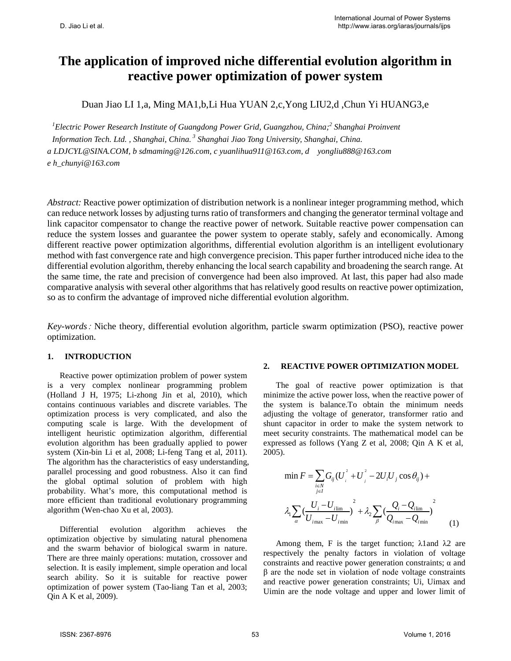# **The application of improved niche differential evolution algorithm in reactive power optimization of power system**

Duan Jiao LI 1,a, Ming MA1,b,Li Hua YUAN 2,c,Yong LIU2,d ,Chun Yi HUANG3,e

*1 Electric Power Research Institute of Guangdong Power Grid, Guangzhou, China; <sup>2</sup> Shanghai Proinvent*  Information Tech. Ltd., Shanghai, China.<sup>3</sup> Shanghai Jiao Tong University, Shanghai, China. *a LDJCYL@SINA.COM, b sdmaming@126.com, c yuanlihua911@163.com, d yongliu888@163.com e h\_chunyi@163.com*

*Abstract:* Reactive power optimization of distribution network is a nonlinear integer programming method, which can reduce network losses by adjusting turns ratio of transformers and changing the generator terminal voltage and link capacitor compensator to change the reactive power of network. Suitable reactive power compensation can reduce the system losses and guarantee the power system to operate stably, safely and economically. Among different reactive power optimization algorithms, differential evolution algorithm is an intelligent evolutionary method with fast convergence rate and high convergence precision. This paper further introduced niche idea to the differential evolution algorithm, thereby enhancing the local search capability and broadening the search range. At the same time, the rate and precision of convergence had been also improved. At last, this paper had also made comparative analysis with several other algorithms that has relatively good results on reactive power optimization, so as to confirm the advantage of improved niche differential evolution algorithm.

*Key-words*: Niche theory, differential evolution algorithm, particle swarm optimization (PSO), reactive power optimization.

## **1. INTRODUCTION**

Reactive power optimization problem of power system is a very complex nonlinear programming problem (Holland J H, 1975; Li-zhong Jin et al, 2010), which contains continuous variables and discrete variables. The optimization process is very complicated, and also the computing scale is large. With the development of intelligent heuristic optimization algorithm, differential evolution algorithm has been gradually applied to power system (Xin-bin Li et al, 2008; Li-feng Tang et al, 2011). The algorithm has the characteristics of easy understanding, parallel processing and good robustness. Also it can find the global optimal solution of problem with high probability. What's more, this computational method is more efficient than traditional evolutionary programming algorithm (Wen-chao Xu et al, 2003).

Differential evolution algorithm achieves the optimization objective by simulating natural phenomena and the swarm behavior of biological swarm in nature. There are three mainly operations: mutation, crossover and selection. It is easily implement, simple operation and local search ability. So it is suitable for reactive power optimization of power system (Tao-liang Tan et al, 2003; Qin A K et al, 2009).

#### **2. REACTIVE POWER OPTIMIZATION MODEL**

The goal of reactive power optimization is that minimize the active power loss, when the reactive power of the system is balance.To obtain the minimum needs adjusting the voltage of generator, transformer ratio and shunt capacitor in order to make the system network to meet security constraints. The mathematical model can be expressed as follows (Yang Z et al, 2008; Qin A K et al, 2005).

$$
\min F = \sum_{i \in N} G_{ij} (U_i^2 + U_j^2 - 2U_i U_j \cos \theta_{ij}) +
$$
  

$$
\lambda_1 \sum_{\alpha} \left( \frac{U_i - U_{i \text{lim}}}{U_{i \text{max}} - U_{i \text{min}}} \right)^2 + \lambda_2 \sum_{\beta} \left( \frac{Q_i - Q_{i \text{lim}}}{Q_{i \text{max}} - Q_{i \text{min}}} \right)^2
$$
 (1)

Among them, F is the target function;  $λ$ 1 and  $λ$ 2 are respectively the penalty factors in violation of voltage constraints and reactive power generation constraints;  $\alpha$  and β are the node set in violation of node voltage constraints and reactive power generation constraints; Ui, Uimax and Uimin are the node voltage and upper and lower limit of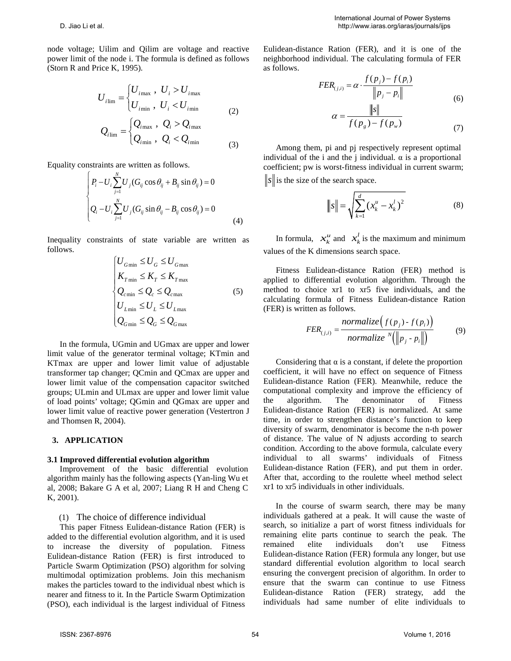node voltage; Uilim and Qilim are voltage and reactive power limit of the node i. The formula is defined as follows (Storn R and Price K, 1995).

$$
U_{i\text{lim}} =\begin{cases} U_{i\text{max}} , U_i > U_{i\text{max}} \\ U_{i\text{min}} , U_i < U_{i\text{min}} \end{cases}
$$
  

$$
Q_{i\text{lim}} =\begin{cases} Q_{i\text{max}} , Q_i > Q_{i\text{max}} \\ Q_{i\text{min}} , Q_i < Q_{i\text{min}} \end{cases}
$$
  
(3)

Equality constraints are written as follows.

$$
\begin{cases}\nP_i - U_i \sum_{j=1}^N U_j (G_{ij} \cos \theta_{ij} + B_{ij} \sin \theta_{ij}) = 0 \\
Q_i - U_i \sum_{j=1}^N U_j (G_{ij} \sin \theta_{ij} - B_{ij} \cos \theta_{ij}) = 0\n\end{cases}
$$
\n(4)

Inequality constraints of state variable are written as follows.

$$
\begin{cases}\nU_{G\min} \le U_G \le U_{G\max} \\
K_{T\min} \le K_T \le K_{T\max} \\
Q_{c\min} \le Q_c \le Q_{c\max} \\
U_{L\min} \le U_L \le U_{L\max} \\
Q_{G\min} \le Q_G \le Q_{c\max}\n\end{cases} (5)
$$

In the formula, UGmin and UGmax are upper and lower limit value of the generator terminal voltage; KTmin and KTmax are upper and lower limit value of adjustable transformer tap changer; QCmin and QCmax are upper and lower limit value of the compensation capacitor switched groups; ULmin and ULmax are upper and lower limit value of load points' voltage; QGmin and QGmax are upper and lower limit value of reactive power generation (Vestertron J and Thomsen R, 2004).

### **3. APPLICATION**

#### **3.1 Improved differential evolution algorithm**

Improvement of the basic differential evolution algorithm mainly has the following aspects (Yan-ling Wu et al, 2008; Bakare G A et al, 2007; Liang R H and Cheng C K, 2001).

#### (1) The choice of difference individual

This paper Fitness Eulidean-distance Ration (FER) is added to the differential evolution algorithm, and it is used to increase the diversity of population. Fitness Eulidean-distance Ration (FER) is first introduced to Particle Swarm Optimization (PSO) algorithm for solving multimodal optimization problems. Join this mechanism makes the particles toward to the individual nbest which is nearer and fitness to it. In the Particle Swarm Optimization (PSO), each individual is the largest individual of Fitness

Eulidean-distance Ration (FER), and it is one of the neighborhood individual. The calculating formula of FER as follows.

$$
FER_{(j,i)} = \alpha \cdot \frac{f(p_j) - f(p_i)}{\left\|p_j - p_i\right\|}
$$
  
\n
$$
\alpha = \frac{\left\|s\right\|}{f(p_s) - f(p_w)}
$$
\n(6)

Among them, pi and pj respectively represent optimal individual of the i and the j individual.  $\alpha$  is a proportional coefficient; pw is worst-fitness individual in current swarm;

 $\|s\|$  is the size of the search space.

$$
||s|| = \sqrt{\sum_{k=1}^{d} (x_k^u - x_k^l)^2}
$$
 (8)

In formula,  $x_k^u$  and  $x_k^l$  is the maximum and minimum values of the K dimensions search space.

Fitness Eulidean-distance Ration (FER) method is applied to differential evolution algorithm. Through the method to choice xr1 to xr5 five individuals, and the calculating formula of Fitness Eulidean-distance Ration (FER) is written as follows.

$$
FER_{(j,i)} = \frac{normalize(f(p_j) - f(p_i))}{normalize \sqrt[m]{\left(\left\| p_j - p_i \right\| \right)}}
$$
(9)

Considering that  $\alpha$  is a constant, if delete the proportion coefficient, it will have no effect on sequence of Fitness Eulidean-distance Ration (FER). Meanwhile, reduce the computational complexity and improve the efficiency of the algorithm. The denominator of Fitness Eulidean-distance Ration (FER) is normalized. At same time, in order to strengthen distance's function to keep diversity of swarm, denominator is become the n-th power of distance. The value of N adjusts according to search condition. According to the above formula, calculate every individual to all swarms' individuals of Fitness Eulidean-distance Ration (FER), and put them in order. After that, according to the roulette wheel method select xr1 to xr5 individuals in other individuals.

In the course of swarm search, there may be many individuals gathered at a peak. It will cause the waste of search, so initialize a part of worst fitness individuals for remaining elite parts continue to search the peak. The remained elite individuals don't use Fitness Eulidean-distance Ration (FER) formula any longer, but use standard differential evolution algorithm to local search ensuring the convergent precision of algorithm. In order to ensure that the swarm can continue to use Fitness Eulidean-distance Ration (FER) strategy, add the individuals had same number of elite individuals to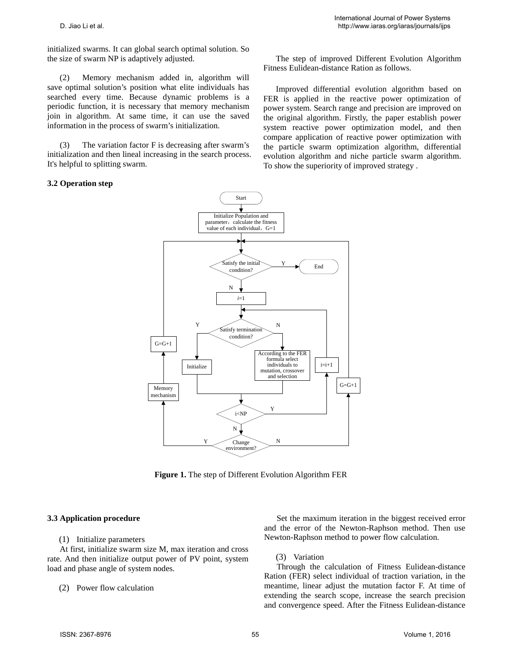initialized swarms. It can global search optimal solution. So the size of swarm NP is adaptively adjusted.

(2) Memory mechanism added in, algorithm will save optimal solution's position what elite individuals has searched every time. Because dynamic problems is a periodic function, it is necessary that memory mechanism join in algorithm. At same time, it can use the saved information in the process of swarm's initialization.

(3) The variation factor F is decreasing after swarm's initialization and then lineal increasing in the search process. It's helpful to splitting swarm.

#### **3.2 Operation step**

The step of improved Different Evolution Algorithm Fitness Eulidean-distance Ration as follows.

Improved differential evolution algorithm based on FER is applied in the reactive power optimization of power system. Search range and precision are improved on the original algorithm. Firstly, the paper establish power system reactive power optimization model, and then compare application of reactive power optimization with the particle swarm optimization algorithm, differential evolution algorithm and niche particle swarm algorithm. To show the superiority of improved strategy .



**Figure 1.** The step of Different Evolution Algorithm FER

#### **3.3 Application procedure**

#### (1) Initialize parameters

At first, initialize swarm size M, max iteration and cross rate. And then initialize output power of PV point, system load and phase angle of system nodes.

#### (2) Power flow calculation

Set the maximum iteration in the biggest received error and the error of the Newton-Raphson method. Then use Newton-Raphson method to power flow calculation.

#### (3) Variation

Through the calculation of Fitness Eulidean-distance Ration (FER) select individual of traction variation, in the meantime, linear adjust the mutation factor F. At time of extending the search scope, increase the search precision and convergence speed. After the Fitness Eulidean-distance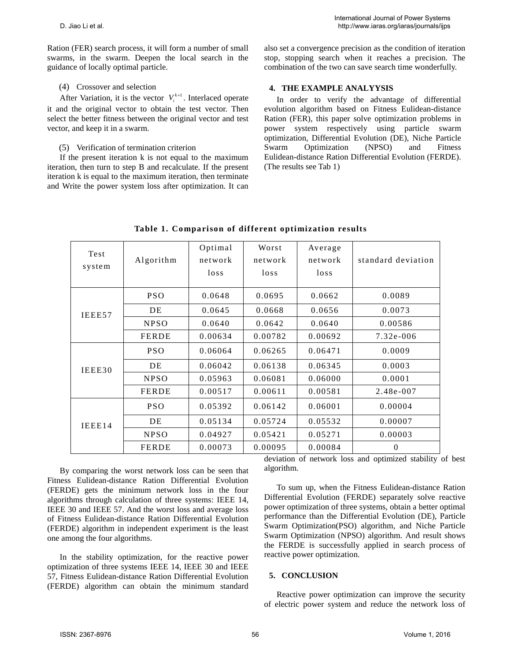Ration (FER) search process, it will form a number of small swarms, in the swarm. Deepen the local search in the guidance of locally optimal particle.

## (4) Crossover and selection

After Variation, it is the vector  $V_i^{k+1}$ . Interlaced operate it and the original vector to obtain the test vector. Then select the better fitness between the original vector and test vector, and keep it in a swarm.

## (5) Verification of termination criterion

If the present iteration k is not equal to the maximum iteration, then turn to step B and recalculate. If the present iteration k is equal to the maximum iteration, then terminate and Write the power system loss after optimization. It can also set a convergence precision as the condition of iteration stop, stopping search when it reaches a precision. The combination of the two can save search time wonderfully.

## **4. THE EXAMPLE ANALYYSIS**

In order to verify the advantage of differential evolution algorithm based on Fitness Eulidean-distance Ration (FER), this paper solve optimization problems in power system respectively using particle swarm optimization, Differential Evolution (DE), Niche Particle Swarm Optimization (NPSO) and Fitness Eulidean-distance Ration Differential Evolution (FERDE). (The results see Tab 1)

| Test<br>system | Algorithm    | Optimal<br>network<br>$\log s$ | Worst<br>network<br>$\log s$ | Average<br>network<br>$\log s$ | standard deviation |
|----------------|--------------|--------------------------------|------------------------------|--------------------------------|--------------------|
| IEEE57         | <b>PSO</b>   | 0.0648                         | 0.0695                       | 0.0662                         | 0.0089             |
|                | DE           | 0.0645                         | 0.0668                       | 0.0656                         | 0.0073             |
|                | <b>NPSO</b>  | 0.0640                         | 0.0642                       | 0.0640                         | 0.00586            |
|                | <b>FERDE</b> | 0.00634                        | 0.00782                      | 0.00692                        | 7.32e-006          |
| IEEE30         | <b>PSO</b>   | 0.06064                        | 0.06265                      | 0.06471                        | 0.0009             |
|                | DE           | 0.06042                        | 0.06138                      | 0.06345                        | 0.0003             |
|                | <b>NPSO</b>  | 0.05963                        | 0.06081                      | 0.06000                        | 0.0001             |
|                | <b>FERDE</b> | 0.00517                        | 0.00611                      | 0.00581                        | 2.48e-007          |
| IEEE14         | <b>PSO</b>   | 0.05392                        | 0.06142                      | 0.06001                        | 0.00004            |
|                | DE           | 0.05134                        | 0.05724                      | 0.05532                        | 0.00007            |
|                | <b>NPSO</b>  | 0.04927                        | 0.05421                      | 0.05271                        | 0.00003            |
|                | <b>FERDE</b> | 0.00073                        | 0.00095                      | 0.00084                        | $\Omega$           |

**Table 1. Comparison of different optimization results**

By comparing the worst network loss can be seen that Fitness Eulidean-distance Ration Differential Evolution (FERDE) gets the minimum network loss in the four algorithms through calculation of three systems: IEEE 14, IEEE 30 and IEEE 57. And the worst loss and average loss of Fitness Eulidean-distance Ration Differential Evolution (FERDE) algorithm in independent experiment is the least one among the four algorithms.

In the stability optimization, for the reactive power optimization of three systems IEEE 14, IEEE 30 and IEEE 57, Fitness Eulidean-distance Ration Differential Evolution (FERDE) algorithm can obtain the minimum standard deviation of network loss and optimized stability of best algorithm.

To sum up, when the Fitness Eulidean-distance Ration Differential Evolution (FERDE) separately solve reactive power optimization of three systems, obtain a better optimal performance than the Differential Evolution (DE), Particle Swarm Optimization(PSO) algorithm, and Niche Particle Swarm Optimization (NPSO) algorithm. And result shows the FERDE is successfully applied in search process of reactive power optimization.

#### **5. CONCLUSION**

Reactive power optimization can improve the security of electric power system and reduce the network loss of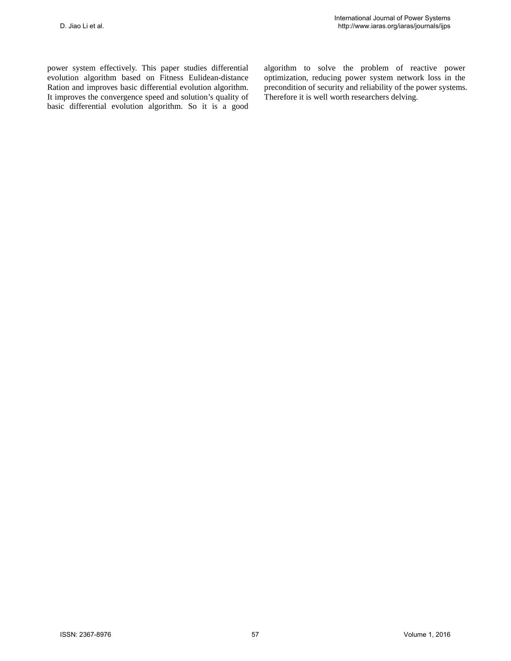power system effectively. This paper studies differential evolution algorithm based on Fitness Eulidean-distance Ration and improves basic differential evolution algorithm. It improves the convergence speed and solution's quality of basic differential evolution algorithm. So it is a good algorithm to solve the problem of reactive power optimization, reducing power system network loss in the precondition of security and reliability of the power systems. Therefore it is well worth researchers delving.